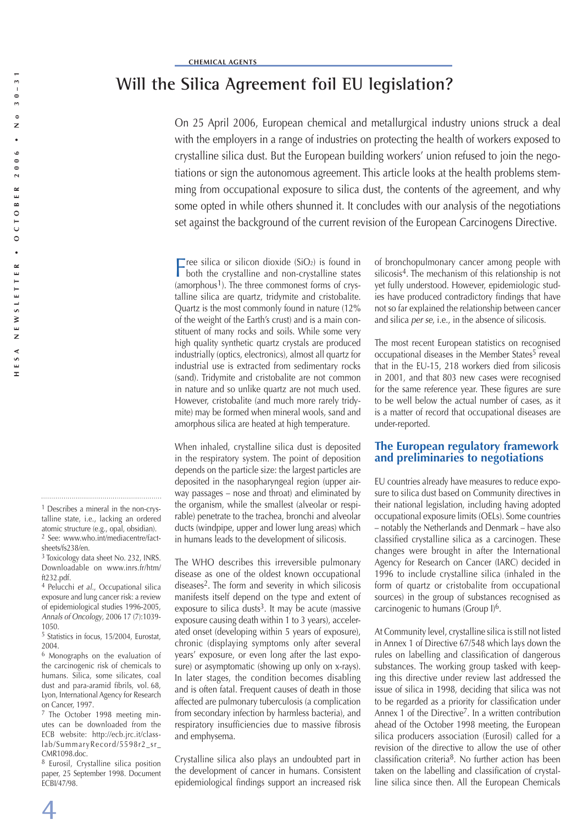# **Will the Silica Agreement foil EU legislation?**

On 25 April 2006, European chemical and metallurgical industry unions struck a deal with the employers in a range of industries on protecting the health of workers exposed to crystalline silica dust. But the European building workers' union refused to join the negotiations or sign the autonomous agreement. This article looks at the health problems stemming from occupational exposure to silica dust, the contents of the agreement, and why some opted in while others shunned it. It concludes with our analysis of the negotiations set against the background of the current revision of the European Carcinogens Directive.

Free silica or silicon dioxide  $(SiO<sub>2</sub>)$  is found in both the crystalline and non-crystalline states (amorphous<sup>1</sup>). The three commonest forms of crystalline silica are quartz, tridymite and cristobalite. Quartz is the most commonly found in nature (12% of the weight of the Earth's crust) and is a main constituent of many rocks and soils. While some very high quality synthetic quartz crystals are produced industrially (optics, electronics), almost all quartz for industrial use is extracted from sedimentary rocks (sand). Tridymite and cristobalite are not common in nature and so unlike quartz are not much used. However, cristobalite (and much more rarely tridymite) may be formed when mineral wools, sand and amorphous silica are heated at high temperature.

When inhaled, crystalline silica dust is deposited in the respiratory system. The point of deposition depends on the particle size: the largest particles are deposited in the nasopharyngeal region (upper airway passages – nose and throat) and eliminated by the organism, while the smallest (alveolar or respirable) penetrate to the trachea, bronchi and alveolar ducts (windpipe, upper and lower lung areas) which in humans leads to the development of silicosis.

The WHO describes this irreversible pulmonary disease as one of the oldest known occupational diseases2. The form and severity in which silicosis manifests itself depend on the type and extent of exposure to silica dusts<sup>3</sup>. It may be acute (massive exposure causing death within 1 to 3 years), accelerated onset (developing within 5 years of exposure), chronic (displaying symptoms only after several years' exposure, or even long after the last exposure) or asymptomatic (showing up only on x-rays). In later stages, the condition becomes disabling and is often fatal. Frequent causes of death in those affected are pulmonary tuberculosis (a complication from secondary infection by harmless bacteria), and respiratory insufficiencies due to massive fibrosis and emphysema.

Crystalline silica also plays an undoubted part in the development of cancer in humans. Consistent epidemiological findings support an increased risk of bronchopulmonary cancer among people with silicosis<sup>4</sup>. The mechanism of this relationship is not yet fully understood. However, epidemiologic studies have produced contradictory findings that have not so far explained the relationship between cancer and silica per se, i.e., in the absence of silicosis.

The most recent European statistics on recognised occupational diseases in the Member States<sup>5</sup> reveal that in the EU-15, 218 workers died from silicosis in 2001, and that 803 new cases were recognised for the same reference year. These figures are sure to be well below the actual number of cases, as it is a matter of record that occupational diseases are under-reported.

## **The European regulatory framework and preliminaries to negotiations**

EU countries already have measures to reduce exposure to silica dust based on Community directives in their national legislation, including having adopted occupational exposure limits (OELs). Some countries – notably the Netherlands and Denmark – have also classified crystalline silica as a carcinogen. These changes were brought in after the International Agency for Research on Cancer (IARC) decided in 1996 to include crystalline silica (inhaled in the form of quartz or cristobalite from occupational sources) in the group of substances recognised as carcinogenic to humans (Group I)6.

At Community level, crystalline silica is still not listed in Annex 1 of Directive 67/548 which lays down the rules on labelling and classification of dangerous substances. The working group tasked with keeping this directive under review last addressed the issue of silica in 1998, deciding that silica was not to be regarded as a priority for classification under Annex 1 of the Directive<sup>7</sup>. In a written contribution ahead of the October 1998 meeting, the European silica producers association (Eurosil) called for a revision of the directive to allow the use of other classification criteria $8$ . No further action has been taken on the labelling and classification of crystalline silica since then. All the European Chemicals

 $\blacktriangle$ 

<sup>1</sup> Describes a mineral in the non-crystalline state, i.e., lacking an ordered atomic structure (e.g., opal, obsidian). 2 See: www.who.int/mediacentre/factsheets/fs238/en.

<sup>3</sup> Toxicology data sheet No. 232, INRS. Downloadable on www.inrs.fr/htm/ ft232.pdf.

<sup>4</sup> Pelucchi et al., Occupational silica exposure and lung cancer risk: a review of epidemiological studies 1996-2005, Annals of Oncology, 2006 17 (7):1039- 1050.

<sup>5</sup> Statistics in focus, 15/2004, Eurostat, 2004.

<sup>6</sup> Monographs on the evaluation of the carcinogenic risk of chemicals to humans. Silica, some silicates, coal dust and para-aramid fibrils, vol. 68, Lyon, International Agency for Research on Cancer, 1997.

<sup>7</sup> The October 1998 meeting minutes can be downloaded from the ECB website: http://ecb.jrc.it/classlab/SummaryRecord/5598r2\_sr\_ CMR1098.doc.

<sup>8</sup> Eurosil, Crystalline silica position paper, 25 September 1998. Document ECBI/47/98.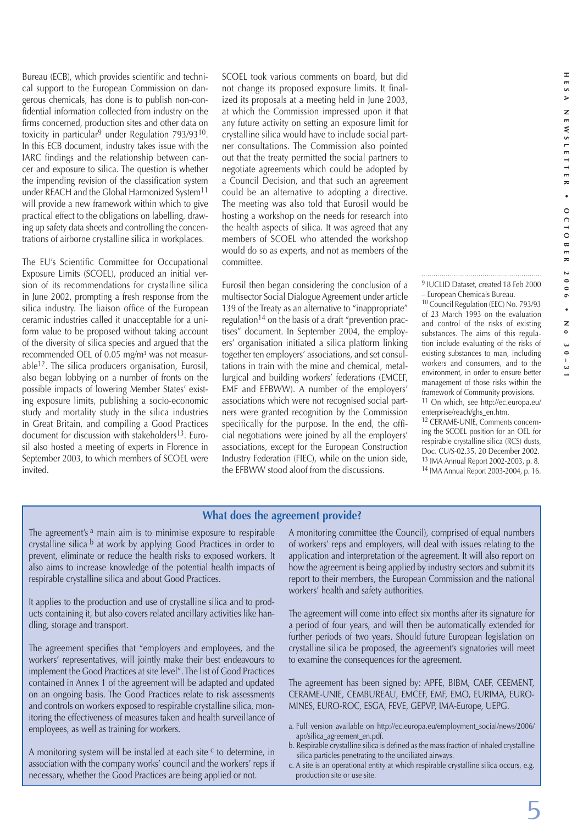Bureau (ECB), which provides scientific and technical support to the European Commission on dangerous chemicals, has done is to publish non-confidential information collected from industry on the firms concerned, production sites and other data on toxicity in particular<sup>9</sup> under Regulation  $793/93^{10}$ . In this ECB document, industry takes issue with the IARC findings and the relationship between cancer and exposure to silica. The question is whether the impending revision of the classification system under REACH and the Global Harmonized System<sup>11</sup> will provide a new framework within which to give practical effect to the obligations on labelling, drawing up safety data sheets and controlling the concentrations of airborne crystalline silica in workplaces.

The EU's Scientific Committee for Occupational Exposure Limits (SCOEL), produced an initial version of its recommendations for crystalline silica in June 2002, prompting a fresh response from the silica industry. The liaison office of the European ceramic industries called it unacceptable for a uniform value to be proposed without taking account of the diversity of silica species and argued that the recommended OEL of 0.05 mg/m<sup>3</sup> was not measurable12. The silica producers organisation, Eurosil, also began lobbying on a number of fronts on the possible impacts of lowering Member States' existing exposure limits, publishing a socio-economic study and mortality study in the silica industries in Great Britain, and compiling a Good Practices document for discussion with stakeholders<sup>13</sup>. Eurosil also hosted a meeting of experts in Florence in September 2003, to which members of SCOEL were invited.

SCOEL took various comments on board, but did not change its proposed exposure limits. It finalized its proposals at a meeting held in June 2003, at which the Commission impressed upon it that any future activity on setting an exposure limit for crystalline silica would have to include social partner consultations. The Commission also pointed out that the treaty permitted the social partners to negotiate agreements which could be adopted by a Council Decision, and that such an agreement could be an alternative to adopting a directive. The meeting was also told that Eurosil would be hosting a workshop on the needs for research into the health aspects of silica. It was agreed that any members of SCOEL who attended the workshop would do so as experts, and not as members of the committee.

Eurosil then began considering the conclusion of a multisector Social Dialogue Agreement under article 139 of the Treaty as an alternative to "inappropriate" regulation14 on the basis of a draft "prevention practises" document. In September 2004, the employers' organisation initiated a silica platform linking together ten employers' associations, and set consultations in train with the mine and chemical, metallurgical and building workers' federations (EMCEF, EMF and EFBWW). A number of the employers' associations which were not recognised social partners were granted recognition by the Commission specifically for the purpose. In the end, the official negotiations were joined by all the employers' associations, except for the European Construction Industry Federation (FIEC), while on the union side, the EFBWW stood aloof from the discussions.

9 IUCLID Dataset, created 18 Feb 2000 – European Chemicals Bureau.

10 Council Regulation (EEC) No. 793/93 of 23 March 1993 on the evaluation and control of the risks of existing substances. The aims of this regulation include evaluating of the risks of existing substances to man, including workers and consumers, and to the environment, in order to ensure better management of those risks within the framework of Community provisions.

11 On which, see http://ec.europa.eu/ enterprise/reach/ghs\_en.htm.

12 CERAME-UNIE, Comments concerning the SCOEL position for an OEL for respirable crystalline silica (RCS) dusts, Doc. CU/S-02.35, 20 December 2002. 13 IMA Annual Report 2002-2003, p. 8. 14 IMA Annual Report 2003-2004, p. 16.

#### **What does the agreement provide?**

The agreement's  $a$  main aim is to minimise exposure to respirable crystalline silica b at work by applying Good Practices in order to prevent, eliminate or reduce the health risks to exposed workers. It also aims to increase knowledge of the potential health impacts of respirable crystalline silica and about Good Practices.

It applies to the production and use of crystalline silica and to products containing it, but also covers related ancillary activities like handling, storage and transport.

The agreement specifies that "employers and employees, and the workers' representatives, will jointly make their best endeavours to implement the Good Practices at site level". The list of Good Practices contained in Annex 1 of the agreement will be adapted and updated on an ongoing basis. The Good Practices relate to risk assessments and controls on workers exposed to respirable crystalline silica, monitoring the effectiveness of measures taken and health surveillance of employees, as well as training for workers.

A monitoring system will be installed at each site  $c$  to determine, in association with the company works' council and the workers' reps if necessary, whether the Good Practices are being applied or not.

A monitoring committee (the Council), comprised of equal numbers of workers' reps and employers, will deal with issues relating to the application and interpretation of the agreement. It will also report on how the agreement is being applied by industry sectors and submit its report to their members, the European Commission and the national workers' health and safety authorities.

The agreement will come into effect six months after its signature for a period of four years, and will then be automatically extended for further periods of two years. Should future European legislation on crystalline silica be proposed, the agreement's signatories will meet to examine the consequences for the agreement.

The agreement has been signed by: APFE, BIBM, CAEF, CEEMENT, CERAME-UNIE, CEMBUREAU, EMCEF, EMF, EMO, EURIMA, EURO-MINES, EURO-ROC, ESGA, FEVE, GEPVP, IMA-Europe, UEPG.

- a. Full version available on http://ec.europa.eu/employment\_social/news/2006/ apr/silica\_agreement\_en.pdf.
- b. Respirable crystalline silica is defined as the mass fraction of inhaled crystalline silica particles penetrating to the unciliated airways.
- c. A site is an operational entity at which respirable crystalline silica occurs, e.g. production site or use site.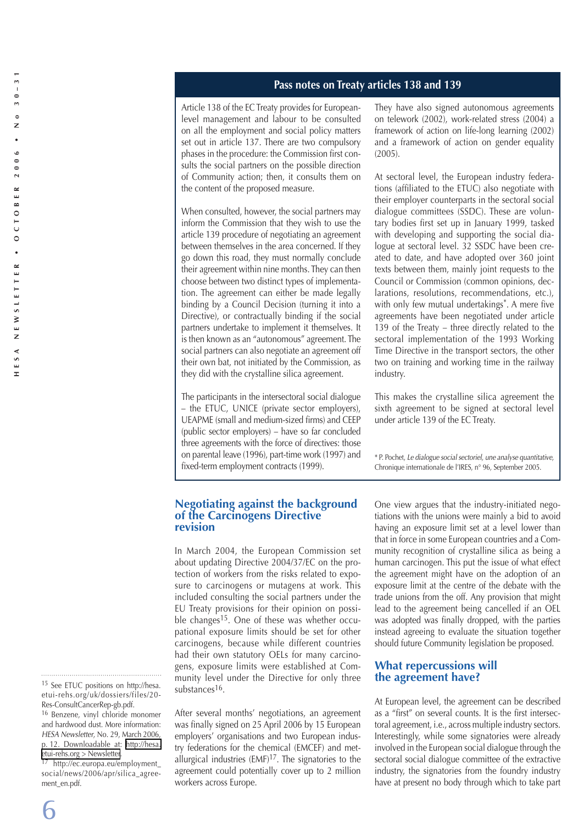## **Pass notes on Treaty articles 138 and 139**

Article 138 of the EC Treaty provides for Europeanlevel management and labour to be consulted on all the employment and social policy matters set out in article 137. There are two compulsory phases in the procedure: the Commission first consults the social partners on the possible direction of Community action; then, it consults them on the content of the proposed measure.

When consulted, however, the social partners may inform the Commission that they wish to use the article 139 procedure of negotiating an agreement between themselves in the area concerned. If they go down this road, they must normally conclude their agreement within nine months. They can then choose between two distinct types of implementation. The agreement can either be made legally binding by a Council Decision (turning it into a Directive), or contractually binding if the social partners undertake to implement it themselves. It is then known as an "autonomous" agreement. The social partners can also negotiate an agreement off their own bat, not initiated by the Commission, as they did with the crystalline silica agreement.

The participants in the intersectoral social dialogue – the ETUC, UNICE (private sector employers), UEAPME (small and medium-sized firms) and CEEP (public sector employers) – have so far concluded three agreements with the force of directives: those on parental leave (1996), part-time work (1997) and fixed-term employment contracts (1999).

They have also signed autonomous agreements on telework (2002), work-related stress (2004) a framework of action on life-long learning (2002) and a framework of action on gender equality (2005).

At sectoral level, the European industry federations (affiliated to the ETUC) also negotiate with their employer counterparts in the sectoral social dialogue committees (SSDC). These are voluntary bodies first set up in January 1999, tasked with developing and supporting the social dialogue at sectoral level. 32 SSDC have been created to date, and have adopted over 360 joint texts between them, mainly joint requests to the Council or Commission (common opinions, declarations, resolutions, recommendations, etc.), with only few mutual undertakings\*. A mere five agreements have been negotiated under article 139 of the Treaty – three directly related to the sectoral implementation of the 1993 Working Time Directive in the transport sectors, the other two on training and working time in the railway industry.

This makes the crystalline silica agreement the sixth agreement to be signed at sectoral level under article 139 of the EC Treaty.

\* P. Pochet, Le dialogue social sectoriel, une analyse quantitative, Chronique internationale de l'IRES, n° 96, September 2005.

#### **Negotiating against the background of the Carcinogens Directive revision**

In March 2004, the European Commission set about updating Directive 2004/37/EC on the protection of workers from the risks related to exposure to carcinogens or mutagens at work. This included consulting the social partners under the EU Treaty provisions for their opinion on possible changes<sup>15</sup>. One of these was whether occupational exposure limits should be set for other carcinogens, because while different countries had their own statutory OELs for many carcinogens, exposure limits were established at Community level under the Directive for only three substances<sup>16</sup>.

After several months' negotiations, an agreement was finally signed on 25 April 2006 by 15 European employers' organisations and two European industry federations for the chemical (EMCEF) and metallurgical industries (EMF)17. The signatories to the agreement could potentially cover up to 2 million workers across Europe.

One view argues that the industry-initiated negotiations with the unions were mainly a bid to avoid having an exposure limit set at a level lower than that in force in some European countries and a Community recognition of crystalline silica as being a human carcinogen. This put the issue of what effect the agreement might have on the adoption of an exposure limit at the centre of the debate with the trade unions from the off. Any provision that might lead to the agreement being cancelled if an OEL was adopted was finally dropped, with the parties instead agreeing to evaluate the situation together should future Community legislation be proposed.

### **What repercussions will the agreement have?**

At European level, the agreement can be described as a "first" on several counts. It is the first intersectoral agreement, i.e., across multiple industry sectors. Interestingly, while some signatories were already involved in the European social dialogue through the sectoral social dialogue committee of the extractive industry, the signatories from the foundry industry have at present no body through which to take part

social/news/2006/apr/silica\_agreement\_en.pdf.

<sup>15</sup> See ETUC positions on http://hesa. etui-rehs.org/uk/dossiers/files/20- Res-ConsultCancerRep-gb.pdf.

<sup>16</sup> Benzene, vinyl chloride monomer and hardwood dust. More information: HESA Newsletter, No. 29, March 2006, p. 12. Downloadable at: [http://hesa.](http://hesa.etui-rehs.org > Newsletter) [etui-rehs.org > Newsletter.](http://hesa.etui-rehs.org > Newsletter) 17 http://ec.europa.eu/employment\_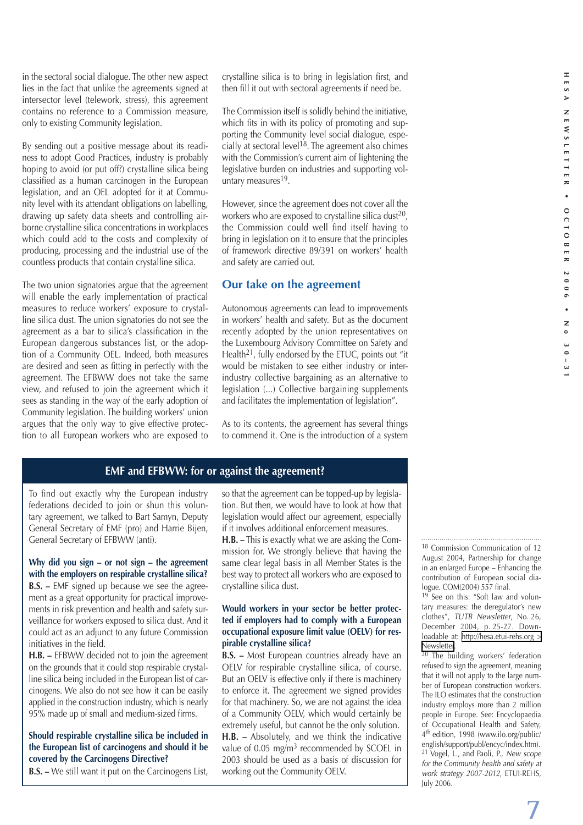in the sectoral social dialogue. The other new aspect lies in the fact that unlike the agreements signed at intersector level (telework, stress), this agreement contains no reference to a Commission measure, only to existing Community legislation.

By sending out a positive message about its readiness to adopt Good Practices, industry is probably hoping to avoid (or put off?) crystalline silica being classified as a human carcinogen in the European legislation, and an OEL adopted for it at Community level with its attendant obligations on labelling, drawing up safety data sheets and controlling airborne crystalline silica concentrations in workplaces which could add to the costs and complexity of producing, processing and the industrial use of the countless products that contain crystalline silica.

The two union signatories argue that the agreement will enable the early implementation of practical measures to reduce workers' exposure to crystalline silica dust. The union signatories do not see the agreement as a bar to silica's classification in the European dangerous substances list, or the adoption of a Community OEL. Indeed, both measures are desired and seen as fitting in perfectly with the agreement. The EFBWW does not take the same view, and refused to join the agreement which it sees as standing in the way of the early adoption of Community legislation. The building workers' union argues that the only way to give effective protection to all European workers who are exposed to

crystalline silica is to bring in legislation first, and then fill it out with sectoral agreements if need be.

The Commission itself is solidly behind the initiative, which fits in with its policy of promoting and supporting the Community level social dialogue, especially at sectoral level<sup>18</sup>. The agreement also chimes with the Commission's current aim of lightening the legislative burden on industries and supporting voluntary measures<sup>19</sup>.

However, since the agreement does not cover all the workers who are exposed to crystalline silica dust<sup>20</sup>, the Commission could well find itself having to bring in legislation on it to ensure that the principles of framework directive 89/391 on workers' health and safety are carried out.

# **Our take on the agreement**

Autonomous agreements can lead to improvements in workers' health and safety. But as the document recently adopted by the union representatives on the Luxembourg Advisory Committee on Safety and Health<sup>21</sup>, fully endorsed by the ETUC, points out "it would be mistaken to see either industry or interindustry collective bargaining as an alternative to legislation (...) Collective bargaining supplements and facilitates the implementation of legislation".

As to its contents, the agreement has several things to commend it. One is the introduction of a system

## **EMF and EFBWW: for or against the agreement?**

To find out exactly why the European industry federations decided to join or shun this voluntary agreement, we talked to Bart Samyn, Deputy General Secretary of EMF (pro) and Harrie Bijen, General Secretary of EFBWW (anti).

#### **Why did you sign – or not sign – the agreement with the employers on respirable crystalline silica?**

**B.S. –** EMF signed up because we see the agreement as a great opportunity for practical improvements in risk prevention and health and safety surveillance for workers exposed to silica dust. And it could act as an adjunct to any future Commission initiatives in the field.

**H.B. –** EFBWW decided not to join the agreement on the grounds that it could stop respirable crystalline silica being included in the European list of carcinogens. We also do not see how it can be easily applied in the construction industry, which is nearly 95% made up of small and medium-sized firms.

## **Should respirable crystalline silica be included in the European list of carcinogens and should it be covered by the Carcinogens Directive?**

**B.S. –** We still want it put on the Carcinogens List,

so that the agreement can be topped-up by legislation. But then, we would have to look at how that legislation would affect our agreement, especially if it involves additional enforcement measures.

**H.B. –** This is exactly what we are asking the Commission for. We strongly believe that having the same clear legal basis in all Member States is the best way to protect all workers who are exposed to crystalline silica dust.

#### **Would workers in your sector be better protected if employers had to comply with a European occupational exposure limit value (OELV) for respirable crystalline silica?**

**B.S. –** Most European countries already have an OELV for respirable crystalline silica, of course. But an OELV is effective only if there is machinery to enforce it. The agreement we signed provides for that machinery. So, we are not against the idea of a Community OELV, which would certainly be extremely useful, but cannot be the only solution. **H.B. –** Absolutely, and we think the indicative value of 0.05 mg/m<sup>3</sup> recommended by SCOEL in 2003 should be used as a basis of discussion for working out the Community OELV.

18 Commission Communication of 12 August 2004, Partnership for change in an enlarged Europe – Enhancing the contribution of European social dialogue. COM(2004) 557 final.

<sup>19</sup> See on this: "Soft law and voluntary measures: the deregulator's new clothes", TUTB Newsletter, No. 26, December 2004, p. 25-27. Downloadable at: [http://hesa.etui-rehs.org >](http://hesa.etui-rehs.org > Newsletter)  [Newsletter.](http://hesa.etui-rehs.org > Newsletter)

20 The building workers' federation refused to sign the agreement, meaning that it will not apply to the large number of European construction workers. The ILO estimates that the construction industry employs more than 2 million people in Europe. See: Encyclopaedia of Occupational Health and Safety, 4th edition, 1998 (www.ilo.org/public/ english/support/publ/encyc/index.htm). 21 Vogel, L., and Paoli, P., New scope for the Community health and safety at work strategy 2007-2012, ETUI-REHS, July 2006.